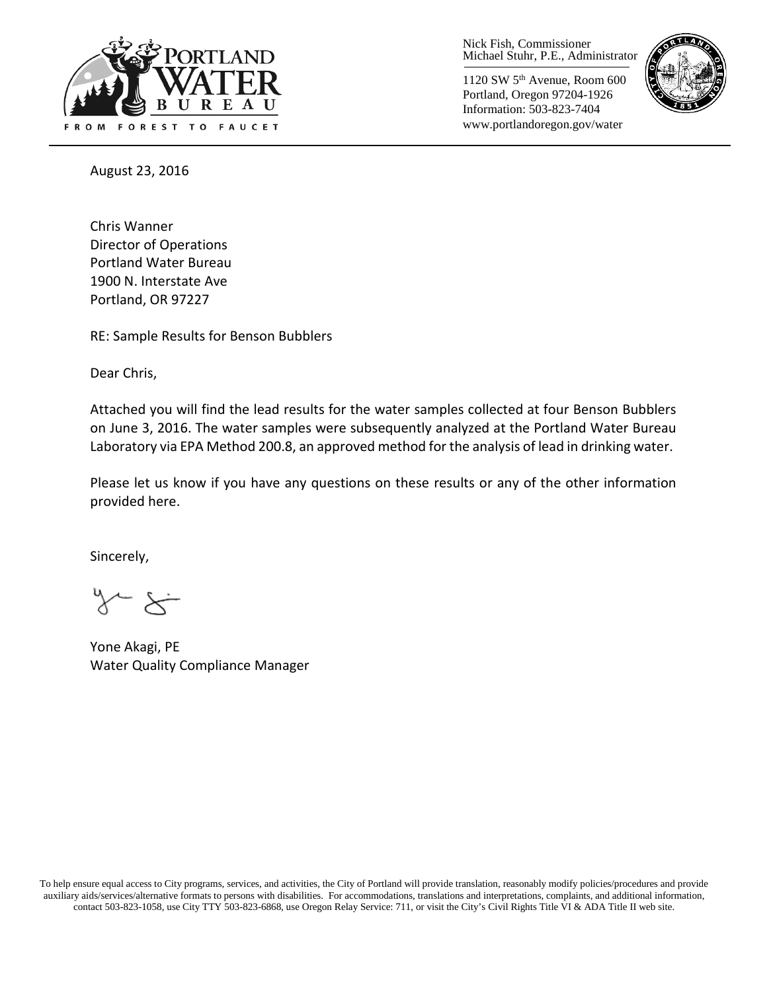

Nick Fish, Commissioner Michael Stuhr, P.E., Administrator

1120 SW 5th Avenue, Room 600 Portland, Oregon 97204-1926 Information: 503-823-7404 www.portlandoregon.gov/water



August 23, 2016

Chris Wanner Director of Operations Portland Water Bureau 1900 N. Interstate Ave Portland, OR 97227

RE: Sample Results for Benson Bubblers

Dear Chris,

Attached you will find the lead results for the water samples collected at four Benson Bubblers on June 3, 2016. The water samples were subsequently analyzed at the Portland Water Bureau Laboratory via EPA Method 200.8, an approved method for the analysis of lead in drinking water.

Please let us know if you have any questions on these results or any of the other information provided here.

Sincerely,

Yone Akagi, PE Water Quality Compliance Manager